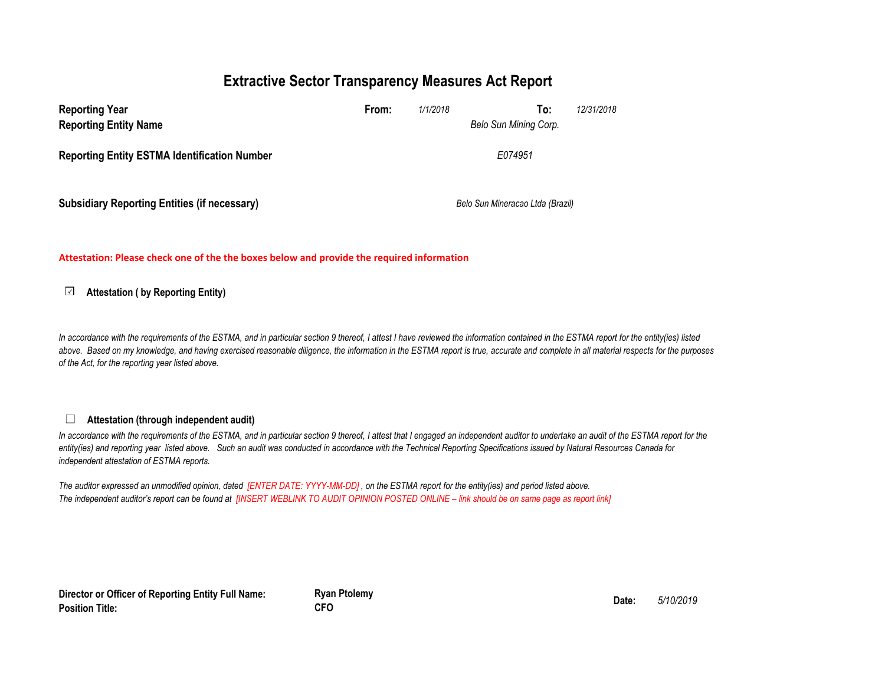### **Extractive Sector Transparency Measures Act Report**

| <b>Reporting Year</b><br><b>Reporting Entity Name</b> | From: | 1/1/2018 | To:<br>Belo Sun Mining Corp.     | 12/31/2018 |
|-------------------------------------------------------|-------|----------|----------------------------------|------------|
| <b>Reporting Entity ESTMA Identification Number</b>   |       |          | E074951                          |            |
| <b>Subsidiary Reporting Entities (if necessary)</b>   |       |          | Belo Sun Mineracao Ltda (Brazil) |            |

**Attestation: Please check one of the the boxes below and provide the required information**

#### $\sqrt{2}$ **Attestation ( by Reporting Entity)**

In accordance with the requirements of the ESTMA, and in particular section 9 thereof, I attest I have reviewed the information contained in the ESTMA report for the entity(ies) listed *above. Based on my knowledge, and having exercised reasonable diligence, the information in the ESTMA report is true, accurate and complete in all material respects for the purposes of the Act, for the reporting year listed above.* 

#### $\Box$ **Attestation (through independent audit)**

In accordance with the requirements of the ESTMA, and in particular section 9 thereof, I attest that I engaged an independent auditor to undertake an audit of the ESTMA report for the *entity(ies) and reporting year listed above. Such an audit was conducted in accordance with the Technical Reporting Specifications issued by Natural Resources Canada for independent attestation of ESTMA reports.* 

*The auditor expressed an unmodified opinion, dated [ENTER DATE: YYYY-MM-DD] , on the ESTMA report for the entity(ies) and period listed above. The independent auditor's report can be found at [INSERT WEBLINK TO AUDIT OPINION POSTED ONLINE – link should be on same page as report link]* 

**Director or Officer of Reporting Entity Full Name: Position Title:**

**Ryan Ptolemy Date:** *5/10/2019* **CFO**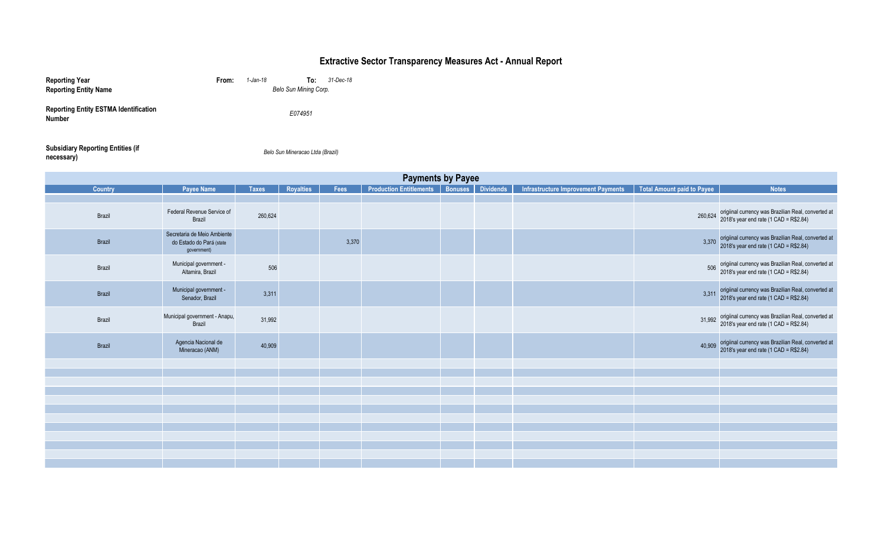# **Extractive Sector Transparency Measures Act - Annual Report**

| <b>Reporting Year</b><br><b>Reporting Entity Name</b>         | From: | 1-Jan-18 | To:<br>Belo Sun Mining Corp. | 31-Dec-18 |
|---------------------------------------------------------------|-------|----------|------------------------------|-----------|
| <b>Reporting Entity ESTMA Identification</b><br><b>Number</b> |       |          | E074951                      |           |
|                                                               |       |          |                              |           |

### **Subsidiary Reporting Entities (if necessary)**<br>**necessary**)

*Belo Sun Mineracao Ltda (Brazil)*

| <b>Payments by Payee</b> |                                                                        |              |           |       |                                            |  |                  |                                     |                            |                                                                                                   |
|--------------------------|------------------------------------------------------------------------|--------------|-----------|-------|--------------------------------------------|--|------------------|-------------------------------------|----------------------------|---------------------------------------------------------------------------------------------------|
| <b>Country</b>           | Payee Name                                                             | <b>Taxes</b> | Royalties | Fees  | <b>Production Entitlements   Bonuses  </b> |  | <b>Dividends</b> | Infrastructure Improvement Payments | Total Amount paid to Payee | <b>Notes</b>                                                                                      |
|                          |                                                                        |              |           |       |                                            |  |                  |                                     |                            |                                                                                                   |
| Brazil                   | Federal Revenue Service of<br>Brazil                                   | 260,624      |           |       |                                            |  |                  |                                     | 260,624                    | origiinal currency was Brazilian Real, converted at<br>2018's year end rate (1 CAD = R\$2.84)     |
| Brazil                   | Secretaria de Meio Ambiente<br>do Estado do Pará (state<br>government) |              |           | 3,370 |                                            |  |                  |                                     | 3,370                      | origiinal currency was Brazilian Real, converted at<br>2018's year end rate (1 CAD = R\$2.84)     |
| Brazil                   | Municipal government -<br>Altamira, Brazil                             | 506          |           |       |                                            |  |                  |                                     |                            | 506 origiinal currency was Brazilian Real, converted at<br>2018's year end rate (1 CAD = R\$2.84) |
| Brazil                   | Municipal government -<br>Senador, Brazil                              | 3,311        |           |       |                                            |  |                  |                                     | 3,311                      | origiinal currency was Brazilian Real, converted at<br>2018's year end rate (1 CAD = R\$2.84)     |
| Brazil                   | Municipal government - Anapu,<br>Brazil                                | 31,992       |           |       |                                            |  |                  |                                     | 31,992                     | origiinal currency was Brazilian Real, converted at<br>2018's year end rate (1 CAD = R\$2.84)     |
| Brazil                   | Agencia Nacional de<br>Mineracao (ANM)                                 | 40,909       |           |       |                                            |  |                  |                                     | 40,909                     | origiinal currency was Brazilian Real, converted at<br>2018's year end rate (1 CAD = R\$2.84)     |
|                          |                                                                        |              |           |       |                                            |  |                  |                                     |                            |                                                                                                   |
|                          |                                                                        |              |           |       |                                            |  |                  |                                     |                            |                                                                                                   |
|                          |                                                                        |              |           |       |                                            |  |                  |                                     |                            |                                                                                                   |
|                          |                                                                        |              |           |       |                                            |  |                  |                                     |                            |                                                                                                   |
|                          |                                                                        |              |           |       |                                            |  |                  |                                     |                            |                                                                                                   |
|                          |                                                                        |              |           |       |                                            |  |                  |                                     |                            |                                                                                                   |
|                          |                                                                        |              |           |       |                                            |  |                  |                                     |                            |                                                                                                   |
|                          |                                                                        |              |           |       |                                            |  |                  |                                     |                            |                                                                                                   |
|                          |                                                                        |              |           |       |                                            |  |                  |                                     |                            |                                                                                                   |
|                          |                                                                        |              |           |       |                                            |  |                  |                                     |                            |                                                                                                   |